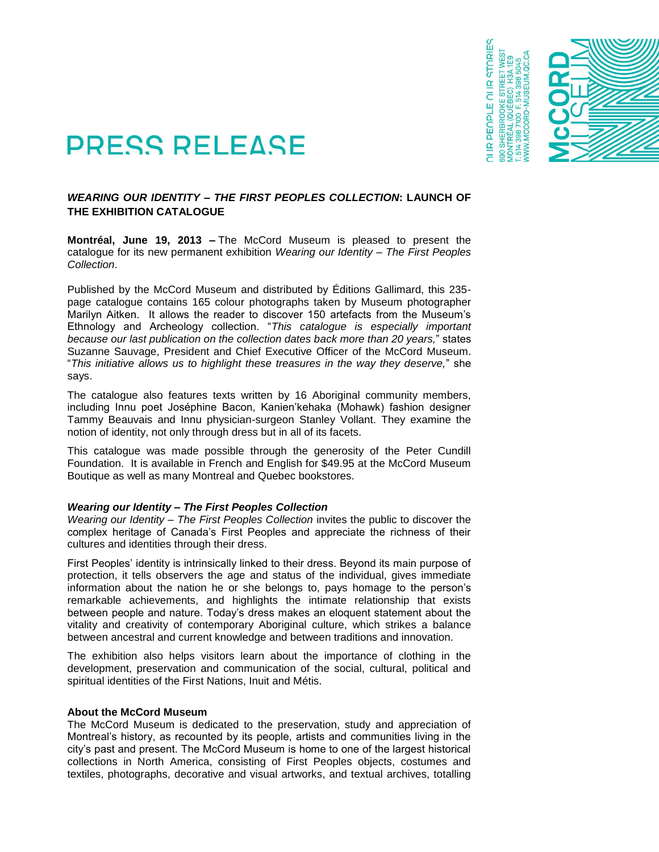

**IR PEOPLE OI IR STORIES** 

## **PRESS RELEASE**

## *WEARING OUR IDENTITY – THE FIRST PEOPLES COLLECTION***: LAUNCH OF THE EXHIBITION CATALOGUE**

**Montréal, June 19, 2013 –** The McCord Museum is pleased to present the catalogue for its new permanent exhibition *Wearing our Identity – The First Peoples Collection*.

Published by the McCord Museum and distributed by Éditions Gallimard, this 235 page catalogue contains 165 colour photographs taken by Museum photographer Marilyn Aitken. It allows the reader to discover 150 artefacts from the Museum's Ethnology and Archeology collection. "*This catalogue is especially important because our last publication on the collection dates back more than 20 years,*" states Suzanne Sauvage, President and Chief Executive Officer of the McCord Museum. "*This initiative allows us to highlight these treasures in the way they deserve,*" she says.

The catalogue also features texts written by 16 Aboriginal community members, including Innu poet Joséphine Bacon, Kanien'kehaka (Mohawk) fashion designer Tammy Beauvais and Innu physician-surgeon Stanley Vollant. They examine the notion of identity, not only through dress but in all of its facets.

This catalogue was made possible through the generosity of the Peter Cundill Foundation. It is available in French and English for \$49.95 at the McCord Museum Boutique as well as many Montreal and Quebec bookstores.

## *Wearing our Identity – The First Peoples Collection*

*Wearing our Identity – The First Peoples Collection* invites the public to discover the complex heritage of Canada's First Peoples and appreciate the richness of their cultures and identities through their dress.

First Peoples' identity is intrinsically linked to their dress. Beyond its main purpose of protection, it tells observers the age and status of the individual, gives immediate information about the nation he or she belongs to, pays homage to the person's remarkable achievements, and highlights the intimate relationship that exists between people and nature. Today's dress makes an eloquent statement about the vitality and creativity of contemporary Aboriginal culture, which strikes a balance between ancestral and current knowledge and between traditions and innovation.

The exhibition also helps visitors learn about the importance of clothing in the development, preservation and communication of the social, cultural, political and spiritual identities of the First Nations, Inuit and Métis.

## **About the McCord Museum**

The McCord Museum is dedicated to the preservation, study and appreciation of Montreal's history, as recounted by its people, artists and communities living in the city's past and present. The McCord Museum is home to one of the largest historical collections in North America, consisting of First Peoples objects, costumes and textiles, photographs, decorative and visual artworks, and textual archives, totalling